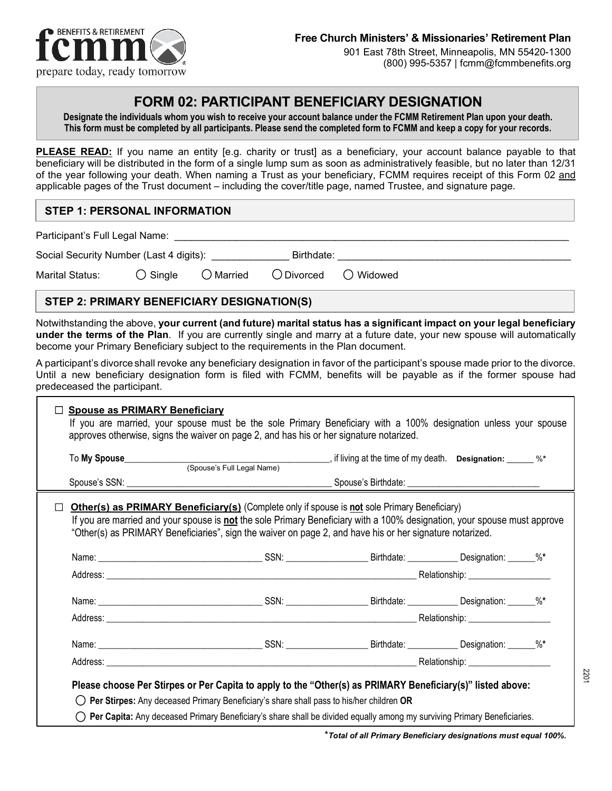

# **FORM 02: PARTICIPANT BENEFICIARY DESIGNATION**

**Designate the individuals whom you wish to receive your account balance under the FCMM Retirement Plan upon your death. This form must be completed by all participants. Please send the completed form to FCMM and keep a copy for your records.**

**PLEASE READ:** If you name an entity [e.g. charity or trust] as a beneficiary, your account balance payable to that beneficiary will be distributed in the form of a single lump sum as soon as administratively feasible, but no later than 12/31 of the year following your death. When naming a Trust as your beneficiary, FCMM requires receipt of this Form 02 and applicable pages of the Trust document – including the cover/title page, named Trustee, and signature page.

## **STEP 1: PERSONAL INFORMATION**

Participant's Full Legal Name:

 $\Gamma$ 

| Social Security Number (Last 4 digits): |  |
|-----------------------------------------|--|
|                                         |  |

| <b>Marital Status:</b> | $\bigcirc$ Single | $\bigcirc$ Married | $\bigcirc$ Divorced | ◯ Widowed |
|------------------------|-------------------|--------------------|---------------------|-----------|
|------------------------|-------------------|--------------------|---------------------|-----------|

## **STEP 2: PRIMARY BENEFICIARY DESIGNATION(S)**

Notwithstanding the above, **your current (and future) marital status has a significant impact on your legal beneficiary under the terms of the Plan**. If you are currently single and marry at a future date, your new spouse will automatically become your Primary Beneficiary subject to the requirements in the Plan document.

A participant's divorce shall revoke any beneficiary designation in favor of the participant's spouse made prior to the divorce. Until a new beneficiary designation form is filed with FCMM, benefits will be payable as if the former spouse had predeceased the participant.

| To My Spouse<br>Spouse's Full Legal Name) (Spouse's Full Legal Name)                                                                                                                                                                                                                                                                        |  |  |  |  |
|---------------------------------------------------------------------------------------------------------------------------------------------------------------------------------------------------------------------------------------------------------------------------------------------------------------------------------------------|--|--|--|--|
|                                                                                                                                                                                                                                                                                                                                             |  |  |  |  |
| <b>Other(s) as PRIMARY Beneficiary(s)</b> (Complete only if spouse is not sole Primary Beneficiary)<br>If you are married and your spouse is not the sole Primary Beneficiary with a 100% designation, your spouse must approve<br>"Other(s) as PRIMARY Beneficiaries", sign the waiver on page 2, and have his or her signature notarized. |  |  |  |  |
|                                                                                                                                                                                                                                                                                                                                             |  |  |  |  |
|                                                                                                                                                                                                                                                                                                                                             |  |  |  |  |
|                                                                                                                                                                                                                                                                                                                                             |  |  |  |  |
|                                                                                                                                                                                                                                                                                                                                             |  |  |  |  |
|                                                                                                                                                                                                                                                                                                                                             |  |  |  |  |
|                                                                                                                                                                                                                                                                                                                                             |  |  |  |  |

\**Total of all Primary Beneficiary designations must equal 100%.*

220